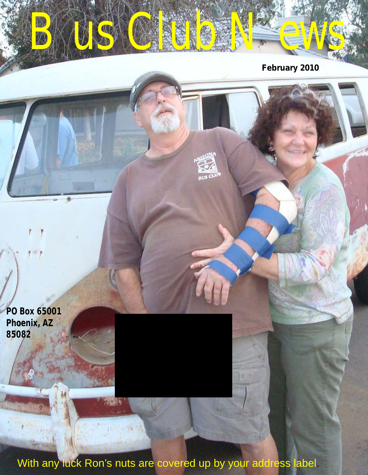*Bus Club News* **February 2010**

**PO Box 65001 Phoenix, AZ 85082**

 $\cdots$ 

With any luck Ron's nuts are covered up by your address label.

**BUSC**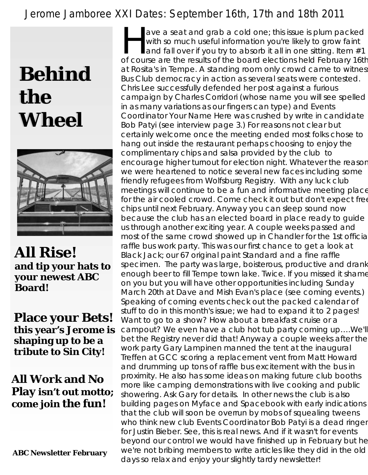### *Jerome Jamboree XXI Dates: September 16th, 17th and 18th 2011*

## **Behind the Wheel**



**All Rise! and tip your hats to your newest ABC Board!**

**Place your Bets! this year's Jerome is shaping up to be a tribute to Sin City!**

**All Work and No Play isn't out motto; come join the fun!**

 **ABC Newsletter February**

ave a seat and grab a cold one; this issue is plum packed with so much useful information you're likely to grow faint and fall over if you try to absorb it all in one sitting. Item  $#1$ of course are the results of the board elections held February 16th at Rosita's in Tempe. A standing room only crowd came to witnes Bus Club democracy in action as several seats were contested. Chris Lee successfully defended her post against a furious campaign by Charles Corridori (whose name you will see spelled in as many variations as our fingers can type) and Events Coordinator Your Name Here was crushed by write in candidate Bob Patyi (see interview page 3.) For reasons not clear but certainly welcome once the meeting ended most folks chose to hang out inside the restaurant perhaps choosing to enjoy the complimentary chips and salsa provided by the club to encourage higher turnout for election night. Whatever the reason we were heartened to notice several new faces including some friendly refugees from Wolfsburg Registry. With any luck club meetings will continue to be a fun and informative meeting place for the air cooled crowd. Come check it out but don't expect free chips until next February. Anyway you can sleep sound now because the club has an elected board in place ready to guide us through another exciting year. A couple weeks passed and most of the same crowd showed up in Chandler for the 1st officia raffle bus work party. This was our first chance to get a look at Black Jack; our 67 original paint Standard and a fine raffle specimen. The party was large, boisterous, productive and drank enough beer to fill Tempe town lake. Twice. If you missed it shame on you but you will have other opportunities including Sunday March 20th at Dave and Mish Evan's place (see coming events.) Speaking of coming events check out the packed calendar of stuff to do in this month's issue; we had to expand it to 2 pages! Want to go to a show? How about a breakfast cruise or a campout? We even have a club hot tub party coming up….We'll bet the Registry never did that! Anyway a couple weeks after the work party Gary Lampinen manned the tent at the inaugural Treffen at GCC scoring a replacement vent from Matt Howard and drumming up tons of raffle bus excitement with the bus in proximity. He also has some ideas on making future club booths more like camping demonstrations with live cooking and public showering. Ask Gary for details. In other news the club is also building pages on Myface and Spacebook with early indications that the club will soon be overrun by mobs of squealing tweens who think new club Events Coordinator Bob Patyi is a dead ringer for Justin Bieber. See, this is real news. And if it wasn't for events beyond our control we would have finished up in February but he we're not bribing members to write articles like they did in the old days so relax and enjoy your slightly tardy newsletter!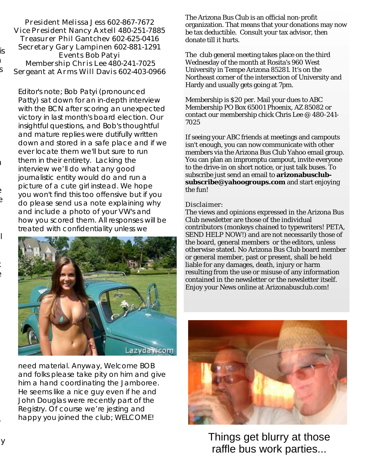| President Melissa Jess 602-867-7672      |
|------------------------------------------|
| Vice President Nancy Axtell 480-251-7885 |
| Treasurer Phil Gantchev 602-625-0416     |
| Secretary Gary Lampinen 602-881-1291     |
| Events Bob Patyi                         |
| Membership Chris Lee 480-241-7025        |
| Sergeant at Arms Will Davis 602-403-0966 |

Editor's note; Bob Patyi (pronounced Patty) sat down for an in-depth interview with the BCN after scoring an unexpected victory in last month's board election. Our insightful questions, and Bob's thoughtful and mature replies were dutifully written down and stored in a safe place and if we ever locate them we'll but sure to run them in their entirety. Lacking the interview we'll do what any good journalistic entity would do and run a picture of a cute girl instead. We hope you won't find this too offensive but if you do please send us a note explaining why and include a photo of your VW's and how you scored them. All responses will be treated with confidentiality unless we



need material. Anyway, Welcome BOB and folks please take pity on him and give him a hand coordinating the Jamboree. He seems like a nice guy even if he and John Douglas were recently part of the Registry. Of course we're jesting and happy you joined the club; WELCOME!

The Arizona Bus Club is an official non-profit organization. That means that your donations may now be tax deductible. Consult your tax advisor, then donate till it hurts.

The club general meeting takes place on the third Wednesday of the month at Rosita's 960 West University in Tempe Arizona 85281. It's on the Northeast corner of the intersection of University and Hardy and usually gets going at 7pm.

Membership is \$20 per. Mail your dues to ABC Membership PO Box 65001 Phoenix, AZ 85082 or contact our membership chick Chris Lee @ 480-241- 7025

If seeing your ABC friends at meetings and campouts isn't enough, you can now communicate with other members via the Arizona Bus Club Yahoo email group. You can plan an impromptu campout, invite everyone to the drive-in on short notice, or just talk buses. To subscribe just send an email to **arizonabusclubsubscribe@yahoogroups.com** and start enjoying the fun!

### Disclaimer:

The views and opinions expressed in the Arizona Bus Club newsletter are those of the individual contributors (monkeys chained to typewriters! PETA, SEND HELP NOW!) and are not necessarily those of the board, general members or the editors, unless otherwise stated. No Arizona Bus Club board member or general member, past or present, shall be held liable for any damages, death, injury or harm resulting from the use or misuse of any information contained in the newsletter or the newsletter itself. Enjoy your News online at Arizonabusclub.com!



Things get blurry at those raffle bus work parties...

is

 $\mathbf{r}$  $S_{\parallel}$ 

 $\mathbf{I}$ 

 $\epsilon$  $\Theta$ 

 $\mathsf{I}$ 

specimen. The party was large, boisterous, productive and drank  $\epsilon$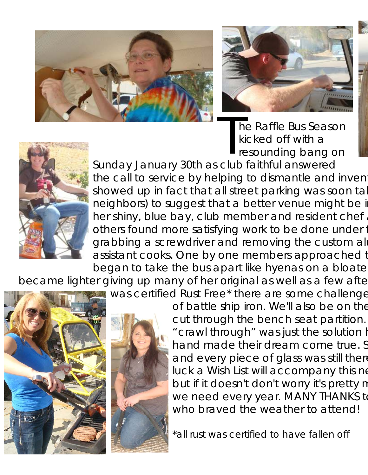



The Raffle Bus Season<br>
kicked off with a<br>
resounding bang on resounding bang on



Sunday January 30th as club faithful answered the call to service by helping to dismantle and invent showed up in fact that all street parking was soon tal neighbors) to suggest that a better venue might be in her shiny, blue bay, club member and resident chef. others found more satisfying work to be done under the nearby E grabbing a screwdriver and removing the custom all assistant cooks. One by one members approached t began to take the bus apart like hyenas on a bloate

became lighter giving up many of her original as well as a few afte

was certified Rust Free\* there are some challenge





of battle ship iron. We'll also be on the cut through the bench seat partition. "crawl through" was just the solution h hand made their dream come true. S and every piece of glass was still there luck a Wish List will accompany this ne but if it doesn't don't worry it's pretty n we need every year. MANY THANKS to who braved the weather to attend!

*\*all rust was certified to have fallen off*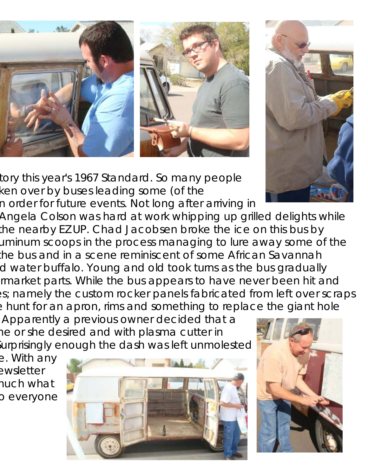





tory this year's 1967 Standard. So many people ken over by buses leading some (of the n order for future events. Not long after arriving in

Angela Colson was hard at work whipping up grilled delights while the nearby EZ UP. Chad Jacobsen broke the ice on this bus by a sina a screw screw and removing to lure along some of the custom allo removing in the process in the some of the the bus and in a scene reminiscent of some African Savannah d water buffalo. Young and old took turns as the bus gradually rmarket parts. While the bus appears to have never been hit and es; namely the custom rocker panels fabricated from left over scraps e hunt for an apron, rims and something to replace the giant hole

Apparently a previous owner decided that a ne or she desired and with plasma cutter in iurprisingly enough the dash was left unmolested

e. With any ewsletter huch what o everyone



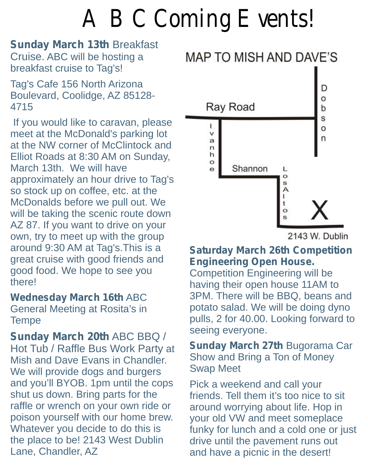## *ABC Coming Events!*

**Sunday March 13th Breakfast** 

Tag's Cafe 156 North Arizona **August 20th - September 5th - September 5th - September 5th - September 5th - September 5th - September 5th - September 5th - September 5th - September 5th - September 5th - September 5th - Se** Boulevard, Coolidge, AZ 85128-<br>
4715 **Nay Road** 

meet at the McDonald's parking lot **November 11-23** Volkswagens by the River, and November 11-13 at the NW corner of McClintock and Elliot Roads at 8:30 AM on Sunday, Elliot Roads at 8:30 AM on Sunday,<br>
March 13th. We will have<br>
approximately an hour drive to Tag's<br>
so stock up on coffee of at the so stock up on coffee, etc. at the<br>
McDonalds before we pull out. We<br>
will be taking the scenic route down<br>
AZ 87. If you want to drive on your<br>
own, try to meet up with the group<br>
around 9:30 AM at Tag's. This is a<br>
Satur around 9:30 AM at Tag's. This is a **Saturday March 26th Competition**<br>great cruise with good friends and **Engineering Open House.** good food. We hope to see you Competition Engineering will be there!

**Sunday March 20th ABC BBQ /**<br>
Hot Tub / Raffle Bus Work Party at<br>
Mish and Dave Evans in Chandler. Show and Bring a Ton of Money Mish and Dave Evans in Chandler. Show and Bring a Ton of Money<br>We will provide dogs and burgers Swap Meet and you'll BYOB. 1pm until the cops **Pick a weekend and call your** shut us down. Bring parts for the friends. Tell them it's too nice to sit<br>raffle or wrench on your own ride or around worrving about life. Hop in poison yourself with our home brew.<br>Whatever you decide to do this is



having their open house 11AM to **Wednesday March 16th** ABC 3PM. There will be BBQ, beans and General Meeting at Rosita's in **potato salad.** We will be doing dyno Tempe pulls, 2 for 40.00. Looking forward to<br>
Seeing everyone.

around worrying about life. Hop in your old VW and meet someplace Whatever you decide to do this is funky for lunch and a cold one or just<br>the place to be! 2143 West Dublin drive until the pavement runs out<br>Lane, Chandler, AZ and have a picnic in the desert!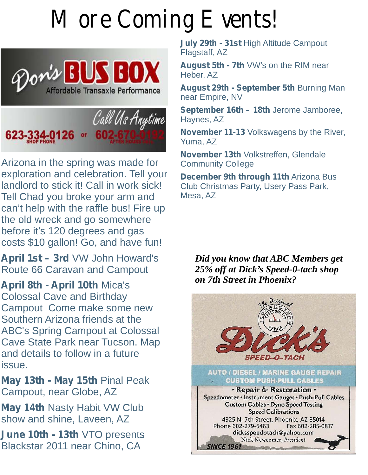## *More Coming Events!*





Arizona in the spring was made for<br>exploration and celebration. Tell your landlord to stick it! Call in work sick! Club Christen Club Christmas Party, Club Christmas Park, Science up o<br>Tell Chad vou broke vour arm and coffess. AZ Tell Chad you broke your arm and can't help with the raffle bus! Fire up the old wreck and go somewhere before it's 120 degrees and gas costs \$10 gallon! Go, and have fun!

April 1st – 3rd VW John Howard's Route 66 Caravan and Campout

April 8th - April 10th Mica's **Colossal Cave and Birthday** Campout Come make some new Southern Arizona friends at the ABC's Spring Campout at Colossal Cave State Park near Tucson. Map and details to follow in a future issue. issue.

**May 13th - May 15th Pinal Peak** Campout, near Globe, AZ

**May 14th Nasty Habit VW Club** show and shine, Laveen, AZ

**June 10th - 13th** VTO presents Blackstar 2011 near Chino, CA

**July 29th - 31st High Altitude Campout Flagstaff, AZ** 

Heber, AZ

Affordable Transaxle Performance **August 29th - September 5th** Burning Man near Empire, NV

**September 16th – 18th** Jerome Jamboree,

**November 11-13** Volkswagens by the River, Yuma, AZ

**November 13th Volkstreffen, Glendale Community College** 

**December 9th through 11th Arizona Bus Club Christmas Party. Usery Pass Park.** 

*Did you know that ABC Members get 25% off at Dick's Speed-0-tach shop on 7th Street in Phoenix?*